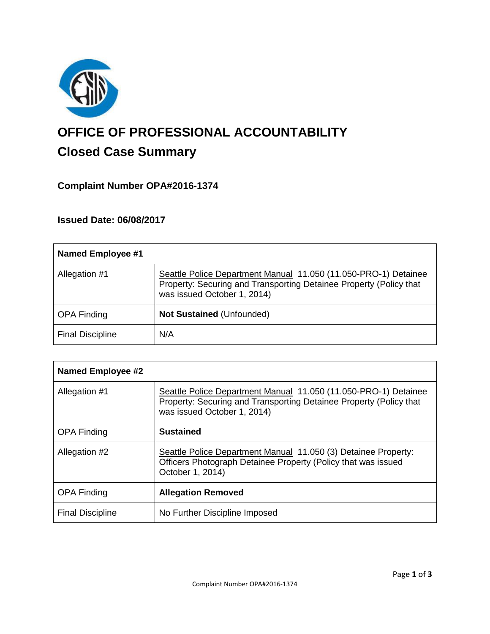

# **OFFICE OF PROFESSIONAL ACCOUNTABILITY Closed Case Summary**

## **Complaint Number OPA#2016-1374**

## **Issued Date: 06/08/2017**

| <b>Named Employee #1</b> |                                                                                                                                                                      |
|--------------------------|----------------------------------------------------------------------------------------------------------------------------------------------------------------------|
| Allegation #1            | Seattle Police Department Manual 11.050 (11.050-PRO-1) Detainee<br>Property: Securing and Transporting Detainee Property (Policy that<br>was issued October 1, 2014) |
| <b>OPA Finding</b>       | <b>Not Sustained (Unfounded)</b>                                                                                                                                     |
| <b>Final Discipline</b>  | N/A                                                                                                                                                                  |

| <b>Named Employee #2</b> |                                                                                                                                                                      |
|--------------------------|----------------------------------------------------------------------------------------------------------------------------------------------------------------------|
| Allegation #1            | Seattle Police Department Manual 11.050 (11.050-PRO-1) Detainee<br>Property: Securing and Transporting Detainee Property (Policy that<br>was issued October 1, 2014) |
| <b>OPA Finding</b>       | <b>Sustained</b>                                                                                                                                                     |
| Allegation #2            | Seattle Police Department Manual 11.050 (3) Detainee Property:<br>Officers Photograph Detainee Property (Policy that was issued<br>October 1, 2014)                  |
| <b>OPA Finding</b>       | <b>Allegation Removed</b>                                                                                                                                            |
| <b>Final Discipline</b>  | No Further Discipline Imposed                                                                                                                                        |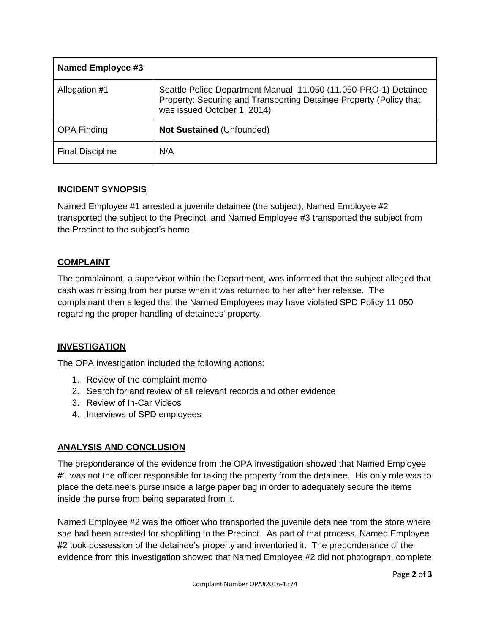| <b>Named Employee #3</b> |                                                                                                                                                                      |
|--------------------------|----------------------------------------------------------------------------------------------------------------------------------------------------------------------|
| Allegation #1            | Seattle Police Department Manual 11.050 (11.050-PRO-1) Detainee<br>Property: Securing and Transporting Detainee Property (Policy that<br>was issued October 1, 2014) |
| <b>OPA Finding</b>       | <b>Not Sustained (Unfounded)</b>                                                                                                                                     |
| <b>Final Discipline</b>  | N/A                                                                                                                                                                  |

## **INCIDENT SYNOPSIS**

Named Employee #1 arrested a juvenile detainee (the subject), Named Employee #2 transported the subject to the Precinct, and Named Employee #3 transported the subject from the Precinct to the subject's home.

## **COMPLAINT**

The complainant, a supervisor within the Department, was informed that the subject alleged that cash was missing from her purse when it was returned to her after her release. The complainant then alleged that the Named Employees may have violated SPD Policy 11.050 regarding the proper handling of detainees' property.

## **INVESTIGATION**

The OPA investigation included the following actions:

- 1. Review of the complaint memo
- 2. Search for and review of all relevant records and other evidence
- 3. Review of In-Car Videos
- 4. Interviews of SPD employees

## **ANALYSIS AND CONCLUSION**

The preponderance of the evidence from the OPA investigation showed that Named Employee #1 was not the officer responsible for taking the property from the detainee. His only role was to place the detainee's purse inside a large paper bag in order to adequately secure the items inside the purse from being separated from it.

Named Employee #2 was the officer who transported the juvenile detainee from the store where she had been arrested for shoplifting to the Precinct. As part of that process, Named Employee #2 took possession of the detainee's property and inventoried it. The preponderance of the evidence from this investigation showed that Named Employee #2 did not photograph, complete